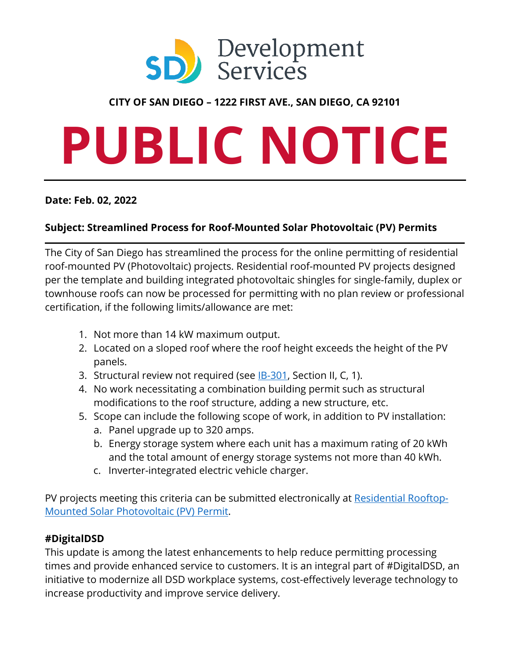

# **CITY OF SAN DIEGO – 1222 FIRST AVE., SAN DIEGO, CA 92101**

# **PUBLIC NOTICE**

#### **Date: Feb. 02, 2022**

### **Subject: Streamlined Process for Roof-Mounted Solar Photovoltaic (PV) Permits**

The City of San Diego has streamlined the process for the online permitting of residential roof-mounted PV (Photovoltaic) projects. Residential roof-mounted PV projects designed per the template and building integrated photovoltaic shingles for single-family, duplex or townhouse roofs can now be processed for permitting with no plan review or professional certification, if the following limits/allowance are met:

- 1. Not more than 14 kW maximum output.
- 2. Located on a sloped roof where the roof height exceeds the height of the PV panels.
- 3. Structural review not required (see **IB-301**, Section II, C, 1).
- 4. No work necessitating a combination building permit such as structural modifications to the roof structure, adding a new structure, etc.
- 5. Scope can include the following scope of work, in addition to PV installation:
	- a. Panel upgrade up to 320 amps.
	- b. Energy storage system where each unit has a maximum rating of 20 kWh and the total amount of energy storage systems not more than 40 kWh.
	- c. Inverter-integrated electric vehicle charger.

PV projects meeting this criteria can be submitted electronically at [Residential Rooftop-](https://www.sandiego.gov/development-services/permits/solar-photovoltaic-permit)[Mounted Solar Photovoltaic \(PV\) Permit.](https://www.sandiego.gov/development-services/permits/solar-photovoltaic-permit)

#### **#DigitalDSD**

This update is among the latest enhancements to help reduce permitting processing times and provide enhanced service to customers. It is an integral part of #DigitalDSD, an initiative to modernize all DSD workplace systems, cost-effectively leverage technology to increase productivity and improve service delivery.